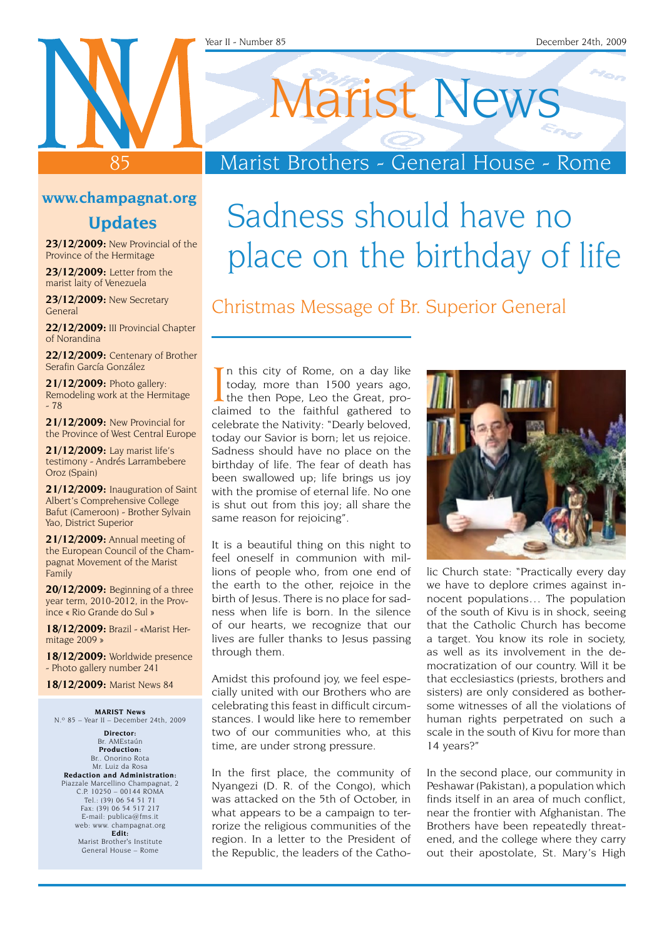# Marist News

### Marist Brothers - General House - Rome

#### **www.champagnat.org**

85

#### **Updates**

**23/12/2009:** New Provincial of the Province of the Hermitage

**23/12/2009:** Letter from the marist laity of Venezuela

**23/12/2009:** New Secretary General

**22/12/2009:** III Provincial Chapter of Norandina

**22/12/2009:** Centenary of Brother Serafin García González

**21/12/2009:** Photo gallery: Remodeling work at the Hermitage - 78

**21/12/2009:** New Provincial for the Province of West Central Europe

**21/12/2009:** Lay marist life's testimony - Andrés Larrambebere Oroz (Spain)

**21/12/2009:** Inauguration of Saint Albert's Comprehensive College Bafut (Cameroon) - Brother Sylvain Yao, District Superior

**21/12/2009:** Annual meeting of the European Council of the Champagnat Movement of the Marist Family

**20/12/2009:** Beginning of a three year term, 2010-2012, in the Province « Rio Grande do Sul »

**18/12/2009:** Brazil - «Marist Hermitage 2009 »

**18/12/2009:** Worldwide presence - Photo gallery number 241

**18/12/2009:** Marist News 84

**Marist News** N.º 85 – Year II – December 24th, 2009

**Director:** Br. AMEstaún **Production:** Br.. Onorino Rota Mr. Luiz da Rosa **Redaction and Administration:** Piazzale Marcellino Champagnat, 2 C.P. 10250 – 00144 ROMA Tel.: (39) 06 54 51 71 Fax: (39) 06 54 517 217 E-mail: publica@fms.it web: www. champagnat.org **Edit:** Marist Brother's Institute General House – Rome

place on the birthday of life

Sadness should have no

Christmas Message of Br. Superior General

In this city of Rome, on a day like<br>today, more than 1500 years ago,<br>the then Pope, Leo the Great, pro-<br>claimed to the faithful gathered to In this city of Rome, on a day like today, more than 1500 years ago, the then Pope, Leo the Great, procelebrate the Nativity: "Dearly beloved, today our Savior is born; let us rejoice. Sadness should have no place on the birthday of life. The fear of death has been swallowed up; life brings us joy with the promise of eternal life. No one is shut out from this joy; all share the same reason for rejoicing".

It is a beautiful thing on this night to feel oneself in communion with millions of people who, from one end of the earth to the other, rejoice in the birth of Jesus. There is no place for sadness when life is born. In the silence of our hearts, we recognize that our lives are fuller thanks to Jesus passing through them.

Amidst this profound joy, we feel especially united with our Brothers who are celebrating this feast in difficult circumstances. I would like here to remember two of our communities who, at this time, are under strong pressure.

In the first place, the community of Nyangezi (D. R. of the Congo), which was attacked on the 5th of October, in what appears to be a campaign to terrorize the religious communities of the region. In a letter to the President of the Republic, the leaders of the Catho-



lic Church state: "Practically every day we have to deplore crimes against innocent populations… The population of the south of Kivu is in shock, seeing that the Catholic Church has become a target. You know its role in society, as well as its involvement in the democratization of our country. Will it be that ecclesiastics (priests, brothers and sisters) are only considered as bothersome witnesses of all the violations of human rights perpetrated on such a scale in the south of Kivu for more than 14 years?"

In the second place, our community in Peshawar (Pakistan), a population which finds itself in an area of much conflict, near the frontier with Afghanistan. The Brothers have been repeatedly threatened, and the college where they carry out their apostolate, St. Mary's High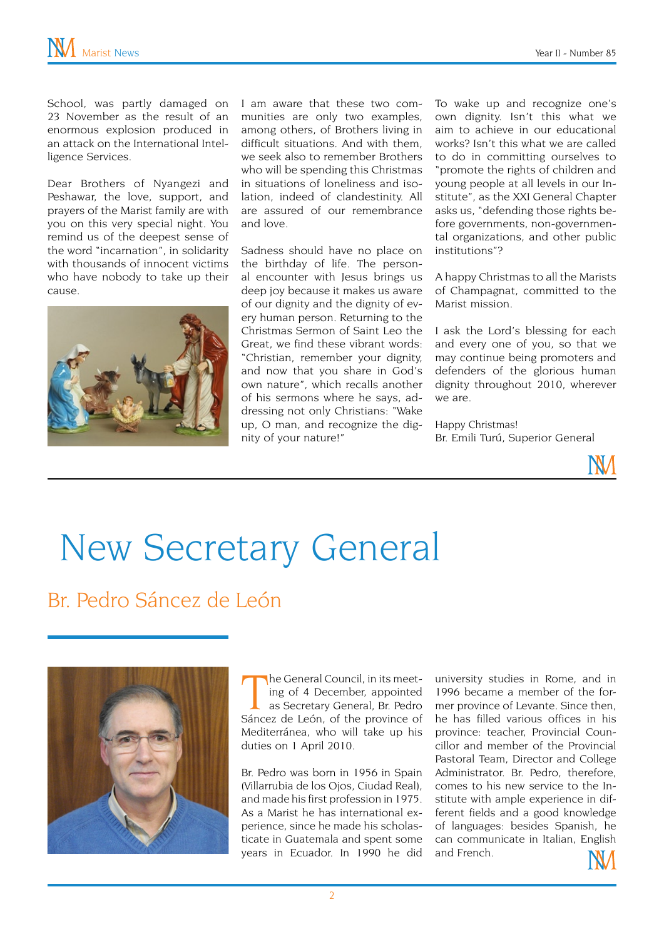School, was partly damaged on 23 November as the result of an enormous explosion produced in an attack on the International Intelligence Services.

Dear Brothers of Nyangezi and Peshawar, the love, support, and prayers of the Marist family are with you on this very special night. You remind us of the deepest sense of the word "incarnation", in solidarity with thousands of innocent victims who have nobody to take up their cause.



I am aware that these two communities are only two examples, among others, of Brothers living in difficult situations. And with them, we seek also to remember Brothers who will be spending this Christmas in situations of loneliness and isolation, indeed of clandestinity. All are assured of our remembrance and love.

Sadness should have no place on the birthday of life. The personal encounter with Jesus brings us deep joy because it makes us aware of our dignity and the dignity of every human person. Returning to the Christmas Sermon of Saint Leo the Great, we find these vibrant words: "Christian, remember your dignity, and now that you share in God's own nature", which recalls another of his sermons where he says, addressing not only Christians: "Wake up, O man, and recognize the dignity of your nature!"

To wake up and recognize one's own dignity. Isn't this what we aim to achieve in our educational works? Isn't this what we are called to do in committing ourselves to "promote the rights of children and young people at all levels in our Institute", as the XXI General Chapter asks us, "defending those rights before governments, non-governmental organizations, and other public institutions"?

A happy Christmas to all the Marists of Champagnat, committed to the Marist mission.

I ask the Lord's blessing for each and every one of you, so that we may continue being promoters and defenders of the glorious human dignity throughout 2010, wherever we are.

Happy Christmas! Br. Emili Turú, Superior General



# New Secretary General

Br. Pedro Sáncez de León



The General Council, in its meeting of 4 December, appointed<br>as Secretary General, Br. Pedro<br>Sáncez de León, of the province of he General Council, in its meeting of 4 December, appointed as Secretary General, Br. Pedro Mediterránea, who will take up his duties on 1 April 2010.

Br. Pedro was born in 1956 in Spain (Villarrubia de los Ojos, Ciudad Real), and made his first profession in 1975. As a Marist he has international experience, since he made his scholasticate in Guatemala and spent some years in Ecuador. In 1990 he did

university studies in Rome, and in 1996 became a member of the former province of Levante. Since then, he has filled various offices in his province: teacher, Provincial Councillor and member of the Provincial Pastoral Team, Director and College Administrator. Br. Pedro, therefore, comes to his new service to the Institute with ample experience in different fields and a good knowledge of languages: besides Spanish, he can communicate in Italian, English and French.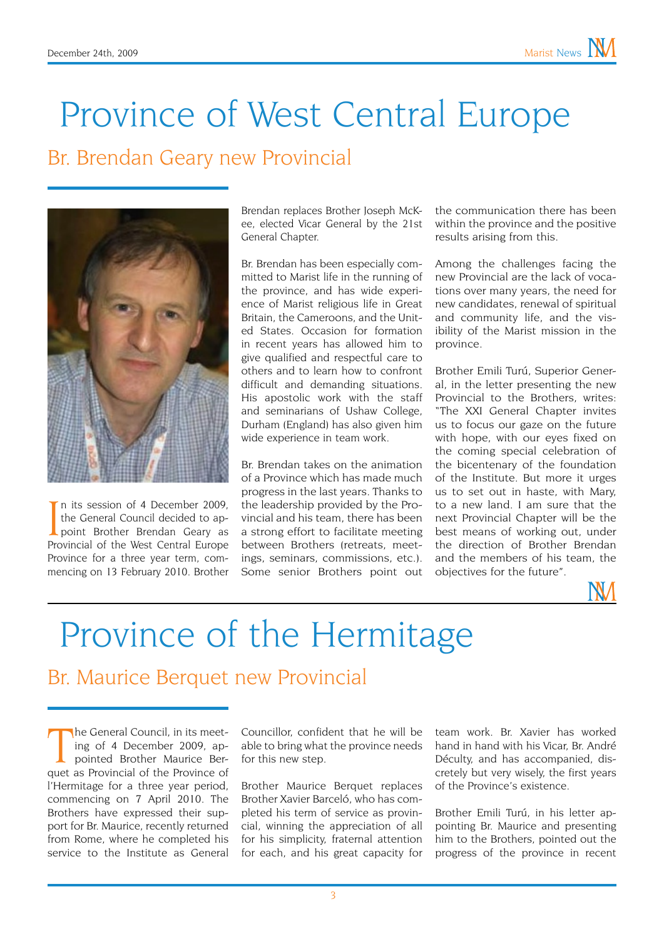## Province of West Central Europe

#### Br. Brendan Geary new Provincial



In its session of 4 December 2009,<br>the General Council decided to appoint Brother Brendan Geary as<br>Provincial of the West Central Europe n its session of 4 December 2009, the General Council decided to ap-Provincial of the West Central Europe Province for a three year term, commencing on 13 February 2010. Brother

Brendan replaces Brother Joseph McKee, elected Vicar General by the 21st General Chapter.

Br. Brendan has been especially committed to Marist life in the running of the province, and has wide experience of Marist religious life in Great Britain, the Cameroons, and the United States. Occasion for formation in recent years has allowed him to give qualified and respectful care to others and to learn how to confront difficult and demanding situations. His apostolic work with the staff and seminarians of Ushaw College, Durham (England) has also given him wide experience in team work.

Br. Brendan takes on the animation of a Province which has made much progress in the last years. Thanks to the leadership provided by the Provincial and his team, there has been a strong effort to facilitate meeting between Brothers (retreats, meetings, seminars, commissions, etc.). Some senior Brothers point out

the communication there has been within the province and the positive results arising from this.

Among the challenges facing the new Provincial are the lack of vocations over many years, the need for new candidates, renewal of spiritual and community life, and the visibility of the Marist mission in the province.

Brother Emili Turú, Superior General, in the letter presenting the new Provincial to the Brothers, writes: "The XXI General Chapter invites us to focus our gaze on the future with hope, with our eyes fixed on the coming special celebration of the bicentenary of the foundation of the Institute. But more it urges us to set out in haste, with Mary, to a new land. I am sure that the next Provincial Chapter will be the best means of working out, under the direction of Brother Brendan and the members of his team, the objectives for the future".



### Province of the Hermitage

#### Br. Maurice Berquet new Provincial

he General Council, in its meeting of 4 December 2009, appointed Brother Maurice Berquet as Provincial of the Province of he General Council, in its meeting of 4 December 2009, appointed Brother Maurice Berl'Hermitage for a three year period, commencing on 7 April 2010. The Brothers have expressed their support for Br. Maurice, recently returned from Rome, where he completed his service to the Institute as General

Councillor, confident that he will be able to bring what the province needs for this new step.

Brother Maurice Berquet replaces Brother Xavier Barceló, who has completed his term of service as provincial, winning the appreciation of all for his simplicity, fraternal attention for each, and his great capacity for

team work. Br. Xavier has worked hand in hand with his Vicar, Br. André Déculty, and has accompanied, discretely but very wisely, the first years of the Province's existence.

Brother Emili Turú, in his letter appointing Br. Maurice and presenting him to the Brothers, pointed out the progress of the province in recent